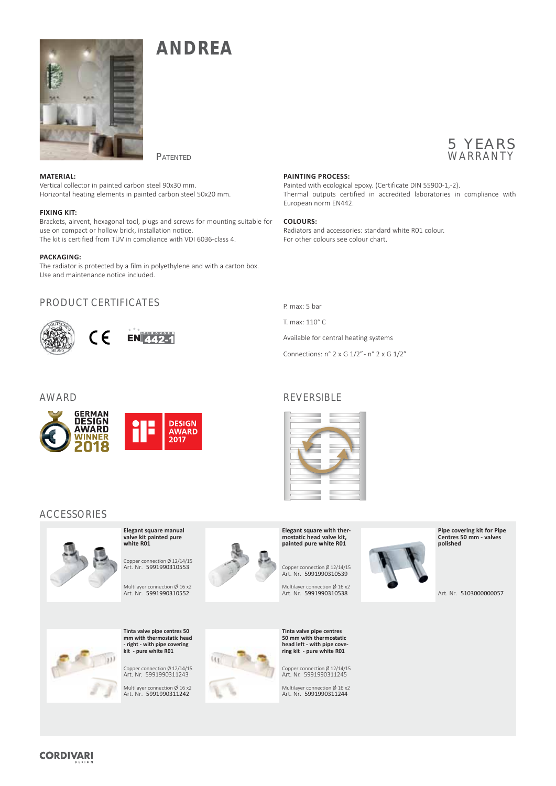

**ANDREA**

## **PATENTED**

**MATERIAL:** Vertical collector in painted carbon steel 90x30 mm. Horizontal heating elements in painted carbon steel 50x20 mm.

### **FIXING KIT:**

Brackets, airvent, hexagonal tool, plugs and screws for mounting suitable for use on compact or hollow brick, installation notice. The kit is certified from TÜV in compliance with VDI 6036-class 4.

#### **PACKAGING:**

The radiator is protected by a film in polyethylene and with a carton box. Use and maintenance notice included.

# PRODUCT CERTIFICATES



## **PAINTING PROCESS:**

Painted with ecological epoxy. (Certificate DIN 55900-1,-2). Thermal outputs certified in accredited laboratories in compliance with European norm EN442.

### **COLOURS:**

Radiators and accessories: standard white R01 colour. For other colours see colour chart.

P. max: 5 bar

T. max: 110° C

Available for central heating systems

Connections: n° 2 x G 1/2" - n° 2 x G 1/2"



# AWARD REVERSIBLE







**valve kit painted pure white R01** Copper connection Ø 12/14/15 Art. Nr. 5991990310553

**Elegant square manual** 

Multilayer connection Ø 16 x2 Art. Nr. 5991990310552





Copper connection Ø 12/14/15 Art. Nr. 5991990311243

Multilayer connection Ø 16 x2 Art. Nr. 5991990311242



**Elegant square with thermostatic head valve kit, painted pure white R01**

Copper connection Ø 12/14/15 Art. Nr. 5991990310539

Multilayer connection Ø 16 x2 Art. Nr. 5991990310538

**Tinta valve pipe centres 50 mm with thermostatic head left - with pipe covering kit - pure white R01**

Copper connection Ø 12/14/15 Art. Nr. 5991990311245

Multilayer connection Ø 16 x2 Art. Nr. 5991990311244



**Pipe covering kit for Pipe Centres 50 mm - valves polished**

Art. Nr. 5103000000057